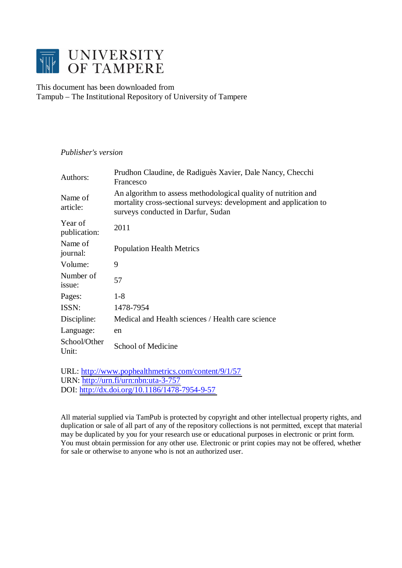

# This document has been downloaded from Tampub – The Institutional Repository of University of Tampere

# *Publisher's version*

| Authors:                | Prudhon Claudine, de Radiguès Xavier, Dale Nancy, Checchi<br>Francesco                                                                                                    |
|-------------------------|---------------------------------------------------------------------------------------------------------------------------------------------------------------------------|
| Name of<br>article:     | An algorithm to assess methodological quality of nutrition and<br>mortality cross-sectional surveys: development and application to<br>surveys conducted in Darfur, Sudan |
| Year of<br>publication: | 2011                                                                                                                                                                      |
| Name of<br>journal:     | <b>Population Health Metrics</b>                                                                                                                                          |
| Volume:                 | 9                                                                                                                                                                         |
| Number of<br>issue:     | 57                                                                                                                                                                        |
| Pages:                  | $1 - 8$                                                                                                                                                                   |
| ISSN:                   | 1478-7954                                                                                                                                                                 |
| Discipline:             | Medical and Health sciences / Health care science                                                                                                                         |
| Language:               | en                                                                                                                                                                        |
| School/Other<br>Unit:   | School of Medicine                                                                                                                                                        |

URL: <http://www.pophealthmetrics.com/content/9/1/57> URN: <http://urn.fi/urn:nbn:uta-3-757> DOI: <http://dx.doi.org/10.1186/1478-7954-9-57>

All material supplied via TamPub is protected by copyright and other intellectual property rights, and duplication or sale of all part of any of the repository collections is not permitted, except that material may be duplicated by you for your research use or educational purposes in electronic or print form. You must obtain permission for any other use. Electronic or print copies may not be offered, whether for sale or otherwise to anyone who is not an authorized user.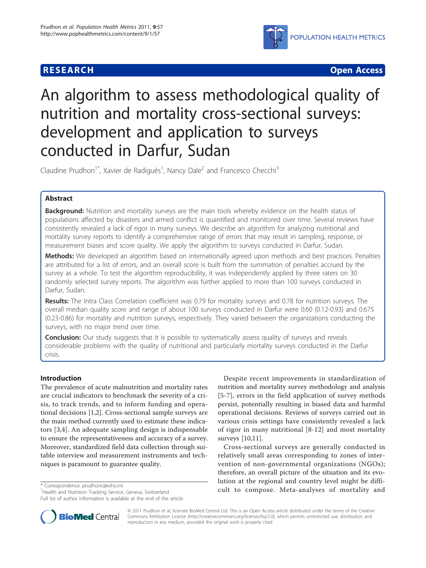# **RESEARCH CHRISTIAN CONSUMING CONTRACT CONSUMING CONSUMING CONSUMING CONSUMING CONSUMING CONSUMING CONSUMING CO**



# An algorithm to assess methodological quality of nutrition and mortality cross-sectional surveys: development and application to surveys conducted in Darfur, Sudan

Claudine Prudhon<sup>1\*</sup>, Xavier de Radiguès<sup>1</sup>, Nancy Dale<sup>2</sup> and Francesco Checchi<sup>3</sup>

# Abstract

**Background:** Nutrition and mortality surveys are the main tools whereby evidence on the health status of populations affected by disasters and armed conflict is quantified and monitored over time. Several reviews have consistently revealed a lack of rigor in many surveys. We describe an algorithm for analyzing nutritional and mortality survey reports to identify a comprehensive range of errors that may result in sampling, response, or measurement biases and score quality. We apply the algorithm to surveys conducted in Darfur, Sudan.

Methods: We developed an algorithm based on internationally agreed upon methods and best practices. Penalties are attributed for a list of errors, and an overall score is built from the summation of penalties accrued by the survey as a whole. To test the algorithm reproducibility, it was independently applied by three raters on 30 randomly selected survey reports. The algorithm was further applied to more than 100 surveys conducted in Darfur, Sudan.

Results: The Intra Class Correlation coefficient was 0.79 for mortality surveys and 0.78 for nutrition surveys. The overall median quality score and range of about 100 surveys conducted in Darfur were 0.60 (0.12-0.93) and 0.675 (0.23-0.86) for mortality and nutrition surveys, respectively. They varied between the organizations conducting the surveys, with no major trend over time.

**Conclusion:** Our study suggests that it is possible to systematically assess quality of surveys and reveals considerable problems with the quality of nutritional and particularly mortality surveys conducted in the Darfur crisis.

# Introduction

The prevalence of acute malnutrition and mortality rates are crucial indicators to benchmark the severity of a crisis, to track trends, and to inform funding and operational decisions [[1,2\]](#page-8-0). Cross-sectional sample surveys are the main method currently used to estimate these indicators [[3,4](#page-8-0)]. An adequate sampling design is indispensable to ensure the representativeness and accuracy of a survey. Moreover, standardized field data collection through suitable interview and measurement instruments and techniques is paramount to guarantee quality.

<sup>1</sup> Health and Nutrition Tracking Service, Geneva, Switzerland

Full list of author information is available at the end of the article

Despite recent improvements in standardization of nutrition and mortality survey methodology and analysis [[5](#page-8-0)-[7\]](#page-8-0), errors in the field application of survey methods persist, potentially resulting in biased data and harmful operational decisions. Reviews of surveys carried out in various crisis settings have consistently revealed a lack of rigor in many nutritional [[8-12\]](#page-8-0) and most mortality surveys [[10,11](#page-8-0)].

Cross-sectional surveys are generally conducted in relatively small areas corresponding to zones of intervention of non-governmental organizations (NGOs); therefore, an overall picture of the situation and its evolution at the regional and country level might be diffi\* Correspondence: [prudhonc@who.int](mailto:prudhonc@who.int)<br>
<sup>1</sup>Health and Nutrition Tracking Service Geneva Switzerland<br>
<sup>1</sup>Health and Nutrition Tracking Service Geneva Switzerland



© 2011 Prudhon et al; licensee BioMed Central Ltd. This is an Open Access article distributed under the terms of the Creative Commons Attribution License [\(http://creativecommons.org/licenses/by/2.0](http://creativecommons.org/licenses/by/2.0)), which permits unrestricted use, distribution, and reproduction in any medium, provided the original work is properly cited.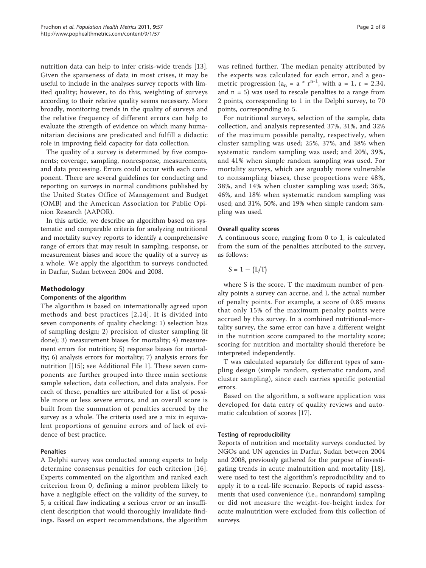nutrition data can help to infer crisis-wide trends [[13](#page-8-0)]. Given the sparseness of data in most crises, it may be useful to include in the analyses survey reports with limited quality; however, to do this, weighting of surveys according to their relative quality seems necessary. More broadly, monitoring trends in the quality of surveys and the relative frequency of different errors can help to evaluate the strength of evidence on which many humanitarian decisions are predicated and fulfill a didactic role in improving field capacity for data collection.

The quality of a survey is determined by five components; coverage, sampling, nonresponse, measurements, and data processing. Errors could occur with each component. There are several guidelines for conducting and reporting on surveys in normal conditions published by the United States Office of Management and Budget (OMB) and the American Association for Public Opinion Research (AAPOR).

In this article, we describe an algorithm based on systematic and comparable criteria for analyzing nutritional and mortality survey reports to identify a comprehensive range of errors that may result in sampling, response, or measurement biases and score the quality of a survey as a whole. We apply the algorithm to surveys conducted in Darfur, Sudan between 2004 and 2008.

# Methodology

# Components of the algorithm

The algorithm is based on internationally agreed upon methods and best practices [[2](#page-8-0),[14](#page-8-0)]. It is divided into seven components of quality checking: 1) selection bias of sampling design; 2) precision of cluster sampling (if done); 3) measurement biases for mortality; 4) measurement errors for nutrition; 5) response biases for mortality; 6) analysis errors for mortality; 7) analysis errors for nutrition [[[15\]](#page-8-0); see Additional File [1\]](#page-8-0). These seven components are further grouped into three main sections: sample selection, data collection, and data analysis. For each of these, penalties are attributed for a list of possible more or less severe errors, and an overall score is built from the summation of penalties accrued by the survey as a whole. The criteria used are a mix in equivalent proportions of genuine errors and of lack of evidence of best practice.

# Penalties

A Delphi survey was conducted among experts to help determine consensus penalties for each criterion [[16](#page-8-0)]. Experts commented on the algorithm and ranked each criterion from 0, defining a minor problem likely to have a negligible effect on the validity of the survey, to 5, a critical flaw indicating a serious error or an insufficient description that would thoroughly invalidate findings. Based on expert recommendations, the algorithm was refined further. The median penalty attributed by the experts was calculated for each error, and a geometric progression ( $a_n = a * r^{n-1}$ , with  $a = 1$ ,  $r = 2.34$ , and  $n = 5$ ) was used to rescale penalties to a range from 2 points, corresponding to 1 in the Delphi survey, to 70 points, corresponding to 5.

For nutritional surveys, selection of the sample, data collection, and analysis represented 37%, 31%, and 32% of the maximum possible penalty, respectively, when cluster sampling was used; 25%, 37%, and 38% when systematic random sampling was used; and 20%, 39%, and 41% when simple random sampling was used. For mortality surveys, which are arguably more vulnerable to nonsampling biases, these proportions were 48%, 38%, and 14% when cluster sampling was used; 36%, 46%, and 18% when systematic random sampling was used; and 31%, 50%, and 19% when simple random sampling was used.

#### Overall quality scores

A continuous score, ranging from 0 to 1, is calculated from the sum of the penalties attributed to the survey, as follows:

$$
S = 1 - (L/T)
$$

where S is the score, T the maximum number of penalty points a survey can accrue, and L the actual number of penalty points. For example, a score of 0.85 means that only 15% of the maximum penalty points were accrued by this survey. In a combined nutritional-mortality survey, the same error can have a different weight in the nutrition score compared to the mortality score; scoring for nutrition and mortality should therefore be interpreted independently.

T was calculated separately for different types of sampling design (simple random, systematic random, and cluster sampling), since each carries specific potential errors.

Based on the algorithm, a software application was developed for data entry of quality reviews and automatic calculation of scores [\[17](#page-8-0)].

# Testing of reproducibility

Reports of nutrition and mortality surveys conducted by NGOs and UN agencies in Darfur, Sudan between 2004 and 2008, previously gathered for the purpose of investigating trends in acute malnutrition and mortality [[18](#page-8-0)], were used to test the algorithm's reproducibility and to apply it to a real-life scenario. Reports of rapid assessments that used convenience (i.e., nonrandom) sampling or did not measure the weight-for-height index for acute malnutrition were excluded from this collection of surveys.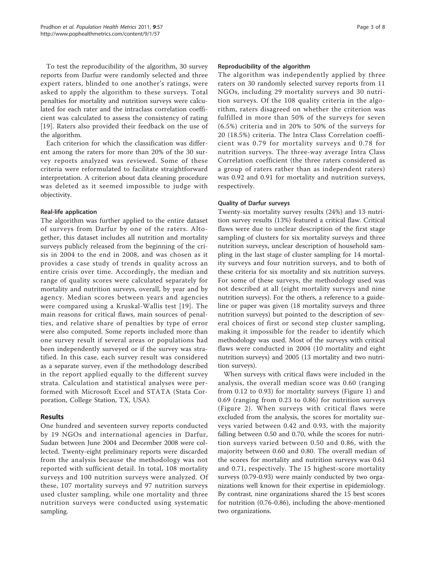To test the reproducibility of the algorithm, 30 survey reports from Darfur were randomly selected and three expert raters, blinded to one another's ratings, were asked to apply the algorithm to these surveys. Total penalties for mortality and nutrition surveys were calculated for each rater and the intraclass correlation coefficient was calculated to assess the consistency of rating [[19](#page-8-0)]. Raters also provided their feedback on the use of the algorithm.

Each criterion for which the classification was different among the raters for more than 20% of the 30 survey reports analyzed was reviewed. Some of these criteria were reformulated to facilitate straightforward interpretation. A criterion about data cleaning procedure was deleted as it seemed impossible to judge with objectivity.

#### Real-life application

The algorithm was further applied to the entire dataset of surveys from Darfur by one of the raters. Altogether, this dataset includes all nutrition and mortality surveys publicly released from the beginning of the crisis in 2004 to the end in 2008, and was chosen as it provides a case study of trends in quality across an entire crisis over time. Accordingly, the median and range of quality scores were calculated separately for mortality and nutrition surveys, overall, by year and by agency. Median scores between years and agencies were compared using a Kruskal-Wallis test [[19](#page-8-0)]. The main reasons for critical flaws, main sources of penalties, and relative share of penalties by type of error were also computed. Some reports included more than one survey result if several areas or populations had been independently surveyed or if the survey was stratified. In this case, each survey result was considered as a separate survey, even if the methodology described in the report applied equally to the different survey strata. Calculation and statistical analyses were performed with Microsoft Excel and STATA (Stata Corporation, College Station, TX, USA).

#### Results

One hundred and seventeen survey reports conducted by 19 NGOs and international agencies in Darfur, Sudan between June 2004 and December 2008 were collected. Twenty-eight preliminary reports were discarded from the analysis because the methodology was not reported with sufficient detail. In total, 108 mortality surveys and 100 nutrition surveys were analyzed. Of these, 107 mortality surveys and 97 nutrition surveys used cluster sampling, while one mortality and three nutrition surveys were conducted using systematic sampling.

#### Reproducibility of the algorithm

The algorithm was independently applied by three raters on 30 randomly selected survey reports from 11 NGOs, including 29 mortality surveys and 30 nutrition surveys. Of the 108 quality criteria in the algorithm, raters disagreed on whether the criterion was fulfilled in more than 50% of the surveys for seven (6.5%) criteria and in 20% to 50% of the surveys for 20 (18.5%) criteria. The Intra Class Correlation coefficient was 0.79 for mortality surveys and 0.78 for nutrition surveys. The three-way average Intra Class Correlation coefficient (the three raters considered as a group of raters rather than as independent raters) was 0.92 and 0.91 for mortality and nutrition surveys, respectively.

#### Quality of Darfur surveys

Twenty-six mortality survey results (24%) and 13 nutrition survey results (13%) featured a critical flaw. Critical flaws were due to unclear description of the first stage sampling of clusters for six mortality surveys and three nutrition surveys, unclear description of household sampling in the last stage of cluster sampling for 14 mortality surveys and four nutrition surveys, and to both of these criteria for six mortality and six nutrition surveys. For some of these surveys, the methodology used was not described at all (eight mortality surveys and nine nutrition surveys). For the others, a reference to a guideline or paper was given (18 mortality surveys and three nutrition surveys) but pointed to the description of several choices of first or second step cluster sampling, making it impossible for the reader to identify which methodology was used. Most of the surveys with critical flaws were conducted in 2004 (10 mortality and eight nutrition surveys) and 2005 (13 mortality and two nutrition surveys).

When surveys with critical flaws were included in the analysis, the overall median score was 0.60 (ranging from 0.12 to 0.93) for mortality surveys (Figure [1](#page-4-0)) and 0.69 (ranging from 0.23 to 0.86) for nutrition surveys (Figure [2](#page-4-0)). When surveys with critical flaws were excluded from the analysis, the scores for mortality surveys varied between 0.42 and 0.93, with the majority falling between 0.50 and 0.70, while the scores for nutrition surveys varied between 0.50 and 0.86, with the majority between 0.60 and 0.80. The overall median of the scores for mortality and nutrition surveys was 0.61 and 0.71, respectively. The 15 highest-score mortality surveys (0.79-0.93) were mainly conducted by two organizations well known for their expertise in epidemiology. By contrast, nine organizations shared the 15 best scores for nutrition (0.76-0.86), including the above-mentioned two organizations.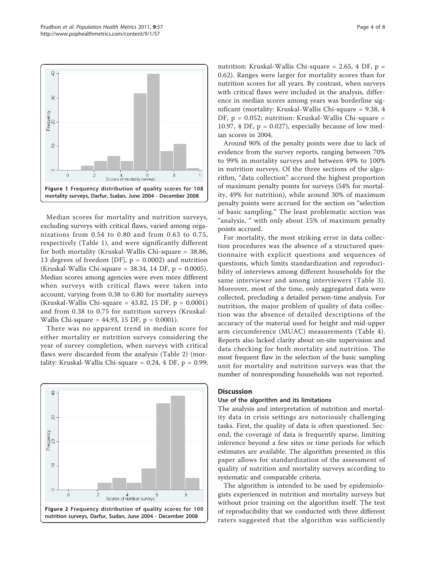<span id="page-4-0"></span>

Median scores for mortality and nutrition surveys, excluding surveys with critical flaws, varied among organizations from 0.54 to 0.80 and from 0.63 to 0.75, respectively (Table [1\)](#page-5-0), and were significantly different for both mortality (Kruskal-Wallis Chi-square = 38.86, 13 degrees of freedom [DF],  $p = 0.0002$ ) and nutrition (Kruskal-Wallis Chi-square = 38.34, 14 DF, p = 0.0005). Median scores among agencies were even more different when surveys with critical flaws were taken into account, varying from 0.38 to 0.80 for mortality surveys (Kruskal-Wallis Chi-square =  $43.82$ , 15 DF, p =  $0.0001$ ) and from 0.38 to 0.75 for nutrition surveys (Kruskal-Wallis Chi-square = 44.93, 15 DF, p = 0.0001).

There was no apparent trend in median score for either mortality or nutrition surveys considering the year of survey completion, when surveys with critical flaws were discarded from the analysis (Table [2\)](#page-5-0) (mortality: Kruskal-Wallis Chi-square =  $0.24$ , 4 DF, p = 0.99;



nutrition: Kruskal-Wallis Chi-square = 2.65, 4 DF,  $p =$ 0.62). Ranges were larger for mortality scores than for nutrition scores for all years. By contrast, when surveys with critical flaws were included in the analysis, difference in median scores among years was borderline significant (mortality: Kruskal-Wallis Chi-square = 9.38, 4 DF, p = 0.052; nutrition: Kruskal-Wallis Chi-square = 10.97, 4 DF,  $p = 0.027$ , especially because of low median scores in 2004.

Around 90% of the penalty points were due to lack of evidence from the survey reports, ranging between 70% to 99% in mortality surveys and between 49% to 100% in nutrition surveys. Of the three sections of the algorithm, "data collection" accrued the highest proportion of maximum penalty points for surveys (54% for mortality, 49% for nutrition), while around 30% of maximum penalty points were accrued for the section on "selection of basic sampling." The least problematic section was "analysis, " with only about 15% of maximum penalty points accrued.

For mortality, the most striking error in data collection procedures was the absence of a structured questionnaire with explicit questions and sequences of questions, which limits standardization and reproducibility of interviews among different households for the same interviewer and among interviewers (Table [3\)](#page-6-0). Moreover, most of the time, only aggregated data were collected, precluding a detailed person-time analysis. For nutrition, the major problem of quality of data collection was the absence of detailed descriptions of the accuracy of the material used for height and mid-upper arm circumference (MUAC) measurements (Table [4](#page-7-0)). Reports also lacked clarity about on-site supervision and data checking for both mortality and nutrition. The most frequent flaw in the selection of the basic sampling unit for mortality and nutrition surveys was that the number of nonresponding households was not reported.

## **Discussion**

#### Use of the algorithm and its limitations

The analysis and interpretation of nutrition and mortality data in crisis settings are notoriously challenging tasks. First, the quality of data is often questioned. Second, the coverage of data is frequently sparse, limiting inference beyond a few sites or time periods for which estimates are available. The algorithm presented in this paper allows for standardization of the assessment of quality of nutrition and mortality surveys according to systematic and comparable criteria.

The algorithm is intended to be used by epidemiologists experienced in nutrition and mortality surveys but without prior training on the algorithm itself. The test of reproducibility that we conducted with three different raters suggested that the algorithm was sufficiently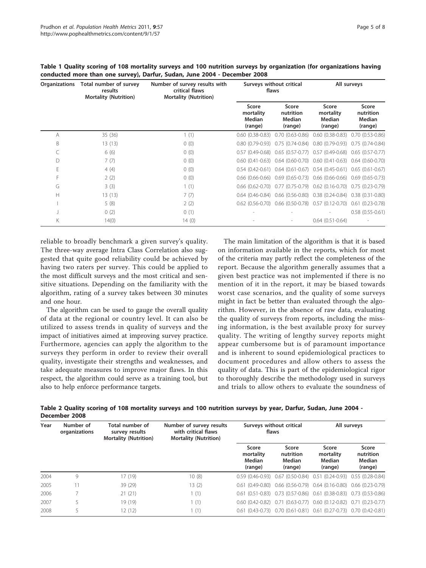| Organizations | Total number of survey<br>results<br><b>Mortality (Nutrition)</b> | Number of survey results with<br>critical flaws<br><b>Mortality (Nutrition)</b> | Surveys without critical<br>All surveys<br>flaws |                                         |                                                                                             |                                                |
|---------------|-------------------------------------------------------------------|---------------------------------------------------------------------------------|--------------------------------------------------|-----------------------------------------|---------------------------------------------------------------------------------------------|------------------------------------------------|
|               |                                                                   |                                                                                 | Score<br>mortality<br><b>Median</b><br>(range)   | Score<br>nutrition<br>Median<br>(range) | Score<br>mortality<br>Median<br>(range)                                                     | Score<br>nutrition<br><b>Median</b><br>(range) |
| Α             | 35 (36)                                                           | 1(1)                                                                            |                                                  |                                         | 0.60 (0.38-0.83) 0.70 (0.63-0.86) 0.60 (0.38-0.83) 0.70 (0.53-0.86)                         |                                                |
| B             | 13(13)                                                            | 0(0)                                                                            |                                                  |                                         | 0.80 (0.79-0.93) 0.75 (0.74-0.84) 0.80 (0.79-0.93) 0.75 (0.74-0.84)                         |                                                |
|               | 6(6)                                                              | 0(0)                                                                            |                                                  |                                         | 0.57 (0.49-0.68) 0.65 (0.57-0.77) 0.57 (0.49-0.68) 0.65 (0.57-0.77)                         |                                                |
| D             | 7(7)                                                              | 0(0)                                                                            |                                                  |                                         | 0.60 (0.41-0.63) 0.64 (0.60-0.70) 0.60 (0.41-0.63) 0.64 (0.60-0.70)                         |                                                |
|               | 4(4)                                                              | 0(0)                                                                            |                                                  |                                         | $0.54$ (0.42-0.61) $0.64$ (0.61-0.67) $0.54$ (0.45-0.61) $0.65$ (0.61-0.67)                 |                                                |
|               | 2(2)                                                              | 0(0)                                                                            |                                                  |                                         | $0.66$ $(0.66-0.66)$ $0.69$ $(0.65-0.73)$ $0.66$ $(0.66-0.66)$ $0.69$ $(0.65-0.73)$         |                                                |
| G             | 3(3)                                                              | 1(1)                                                                            |                                                  |                                         | $0.66$ $(0.62 - 0.70)$ $0.77$ $(0.75 - 0.79)$ $0.62$ $(0.16 - 0.70)$ $0.75$ $(0.23 - 0.79)$ |                                                |
| Н             | 13(13)                                                            | 7(7)                                                                            |                                                  |                                         | 0.64 (0.46-0.84) 0.66 (0.56-0.80) 0.38 (0.24-0.84) 0.38 (0.31-0.80)                         |                                                |
|               | 5(8)                                                              | 2(2)                                                                            |                                                  |                                         | 0.62 (0.56-0.70) 0.66 (0.50-0.78) 0.57 (0.12-0.70) 0.61 (0.23-0.78)                         |                                                |
|               | 0(2)                                                              | 0(1)                                                                            |                                                  |                                         |                                                                                             | $0.58(0.55-0.61)$                              |
| Κ             | 14(0)                                                             | 14(0)                                                                           |                                                  |                                         | $0.64$ $(0.51 - 0.64)$                                                                      |                                                |

<span id="page-5-0"></span>Table 1 Quality scoring of 108 mortality surveys and 100 nutrition surveys by organization (for organizations having conducted more than one survey), Darfur, Sudan, June 2004 - December 2008

reliable to broadly benchmark a given survey's quality. The three-way average Intra Class Correlation also suggested that quite good reliability could be achieved by having two raters per survey. This could be applied to the most difficult surveys and the most critical and sensitive situations. Depending on the familiarity with the algorithm, rating of a survey takes between 30 minutes and one hour.

The algorithm can be used to gauge the overall quality of data at the regional or country level. It can also be utilized to assess trends in quality of surveys and the impact of initiatives aimed at improving survey practice. Furthermore, agencies can apply the algorithm to the surveys they perform in order to review their overall quality, investigate their strengths and weaknesses, and take adequate measures to improve major flaws. In this respect, the algorithm could serve as a training tool, but also to help enforce performance targets.

The main limitation of the algorithm is that it is based on information available in the reports, which for most of the criteria may partly reflect the completeness of the report. Because the algorithm generally assumes that a given best practice was not implemented if there is no mention of it in the report, it may be biased towards worst case scenarios, and the quality of some surveys might in fact be better than evaluated through the algorithm. However, in the absence of raw data, evaluating the quality of surveys from reports, including the missing information, is the best available proxy for survey quality. The writing of lengthy survey reports might appear cumbersome but is of paramount importance and is inherent to sound epidemiological practices to document procedures and allow others to assess the quality of data. This is part of the epidemiological rigor to thoroughly describe the methodology used in surveys and trials to allow others to evaluate the soundness of

| Table 2 Quality scoring of 108 mortality surveys and 100 nutrition surveys by year, Darfur, Sudan, June 2004 - |  |  |
|----------------------------------------------------------------------------------------------------------------|--|--|
| December 2008                                                                                                  |  |  |

| Year | Number of<br>organizations | Total number of<br>survey results<br><b>Mortality (Nutrition)</b> | Number of survey results<br>with critical flaws<br><b>Mortality (Nutrition)</b> |                                         | Surveys without critical<br>All surveys<br>flaws |                                                                                     |                                         |
|------|----------------------------|-------------------------------------------------------------------|---------------------------------------------------------------------------------|-----------------------------------------|--------------------------------------------------|-------------------------------------------------------------------------------------|-----------------------------------------|
|      |                            |                                                                   |                                                                                 | Score<br>mortality<br>Median<br>(range) | Score<br>nutrition<br>Median<br>(range)          | Score<br>mortality<br>Median<br>(range)                                             | Score<br>nutrition<br>Median<br>(range) |
| 2004 | 9                          | 17(19)                                                            | 10(8)                                                                           |                                         |                                                  | 0.59 (0.46-0.93) 0.67 (0.50-0.84) 0.51 (0.24-0.93) 0.55 (0.28-0.84)                 |                                         |
| 2005 | 11                         | 39(29)                                                            | 13(2)                                                                           |                                         |                                                  | $0.61$ $(0.49-0.80)$ $0.66$ $(0.56-0.79)$ $0.64$ $(0.16-0.80)$ $0.66$ $(0.23-0.79)$ |                                         |
| 2006 | ⇁                          | 21(21)                                                            | 1(1)                                                                            |                                         |                                                  | 0.61 (0.51-0.83) 0.73 (0.57-0.86) 0.61 (0.38-0.83) 0.73 (0.53-0.86)                 |                                         |
| 2007 |                            | 19 (19)                                                           | 1(1)                                                                            |                                         |                                                  | 0.60 (0.42-0.82) 0.71 (0.63-0.77) 0.60 (0.12-0.82) 0.71 (0.23-0.77)                 |                                         |
| 2008 |                            | 12(12)                                                            | (1)                                                                             |                                         |                                                  | 0.61 (0.43-0.73) 0.70 (0.61-0.81) 0.61 (0.27-0.73) 0.70 (0.42-0.81)                 |                                         |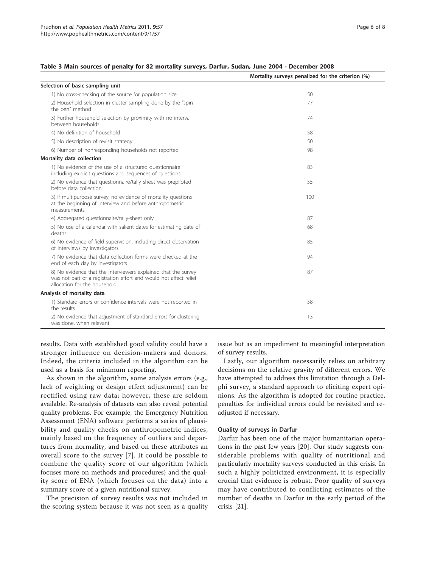<span id="page-6-0"></span>

|                                                                                                                                                                     | Mortality surveys penalized for the criterion (%) |
|---------------------------------------------------------------------------------------------------------------------------------------------------------------------|---------------------------------------------------|
| Selection of basic sampling unit                                                                                                                                    |                                                   |
| 1) No cross-checking of the source for population size                                                                                                              | 50                                                |
| 2) Household selection in cluster sampling done by the "spin<br>the pen" method                                                                                     | 77                                                |
| 3) Further household selection by proximity with no interval<br>between households                                                                                  | 74                                                |
| 4) No definition of household                                                                                                                                       | 58                                                |
| 5) No description of revisit strategy                                                                                                                               | 50                                                |
| 6) Number of nonresponding households not reported                                                                                                                  | 98                                                |
| Mortality data collection                                                                                                                                           |                                                   |
| 1) No evidence of the use of a structured questionnaire<br>including explicit questions and sequences of questions                                                  | 83                                                |
| 2) No evidence that questionnaire/tally sheet was prepiloted<br>before data collection                                                                              | 55                                                |
| 3) If multipurpose survey, no evidence of mortality questions<br>at the beginning of interview and before anthropometric<br>measurements                            | 100                                               |
| 4) Aggregated questionnaire/tally-sheet only                                                                                                                        | 87                                                |
| 5) No use of a calendar with salient dates for estimating date of<br>deaths                                                                                         | 68                                                |
| 6) No evidence of field supervision, including direct observation<br>of interviews by investigators                                                                 | 85                                                |
| 7) No evidence that data collection forms were checked at the<br>end of each day by investigators                                                                   | 94                                                |
| 8) No evidence that the interviewers explained that the survey<br>was not part of a registration effort and would not affect relief<br>allocation for the household | 87                                                |
| Analysis of mortality data                                                                                                                                          |                                                   |
| 1) Standard errors or confidence intervals were not reported in<br>the results                                                                                      | 58                                                |
| 2) No evidence that adjustment of standard errors for clustering<br>was done, when relevant                                                                         | 13                                                |

results. Data with established good validity could have a stronger influence on decision-makers and donors. Indeed, the criteria included in the algorithm can be used as a basis for minimum reporting.

As shown in the algorithm, some analysis errors (e.g., lack of weighting or design effect adjustment) can be rectified using raw data; however, these are seldom available. Re-analysis of datasets can also reveal potential quality problems. For example, the Emergency Nutrition Assessment (ENA) software performs a series of plausibility and quality checks on anthropometric indices, mainly based on the frequency of outliers and departures from normality, and based on these attributes an overall score to the survey [[7\]](#page-8-0). It could be possible to combine the quality score of our algorithm (which focuses more on methods and procedures) and the quality score of ENA (which focuses on the data) into a summary score of a given nutritional survey.

The precision of survey results was not included in the scoring system because it was not seen as a quality issue but as an impediment to meaningful interpretation of survey results.

Lastly, our algorithm necessarily relies on arbitrary decisions on the relative gravity of different errors. We have attempted to address this limitation through a Delphi survey, a standard approach to eliciting expert opinions. As the algorithm is adopted for routine practice, penalties for individual errors could be revisited and readjusted if necessary.

#### Quality of surveys in Darfur

Darfur has been one of the major humanitarian operations in the past few years [[20\]](#page-8-0). Our study suggests considerable problems with quality of nutritional and particularly mortality surveys conducted in this crisis. In such a highly politicized environment, it is especially crucial that evidence is robust. Poor quality of surveys may have contributed to conflicting estimates of the number of deaths in Darfur in the early period of the crisis [[21\]](#page-8-0).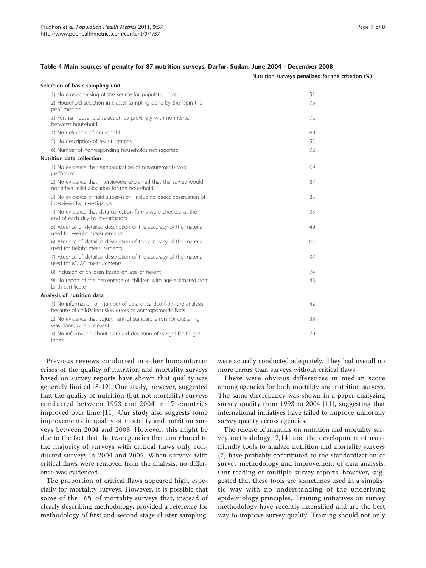<span id="page-7-0"></span>

| Table 4 Main sources of penalty for 87 nutrition surveys, Darfur, Sudan, June 2004 - December 2008 |  |  |
|----------------------------------------------------------------------------------------------------|--|--|
|----------------------------------------------------------------------------------------------------|--|--|

|                                                                                                                                | Nutrition surveys penalized for the criterion (%) |
|--------------------------------------------------------------------------------------------------------------------------------|---------------------------------------------------|
| Selection of basic sampling unit                                                                                               |                                                   |
| 1) No cross-checking of the source for population size                                                                         | 51                                                |
| 2) Household selection in cluster sampling done by the "spin the<br>pen" method                                                | 76                                                |
| 3) Further household selection by proximity with no interval<br>between households                                             | 72                                                |
| 4) No definition of household                                                                                                  | 60                                                |
| 5) No description of revisit strategy                                                                                          | 53                                                |
| 6) Number of nonresponding households not reported                                                                             | 92                                                |
| Nutrition data collection                                                                                                      |                                                   |
| 1) No evidence that standardization of measurements was<br>performed                                                           | 69                                                |
| 2) No evidence that interviewers explained that the survey would<br>not affect relief allocation for the household             | 87                                                |
| 3) No evidence of field supervision, including direct observation of<br>interviews by investigators                            | 85                                                |
| 4) No evidence that data collection forms were checked at the<br>end of each day by investigators                              | 95                                                |
| 5) Absence of detailed description of the accuracy of the material<br>used for weight measurements                             | 49                                                |
| 6) Absence of detailed description of the accuracy of the material<br>used for height measurements                             | 100                                               |
| 7) Absence of detailed description of the accuracy of the material<br>used for MUAC measurements                               | 97                                                |
| 8) Inclusion of children based on age or height                                                                                | 74                                                |
| 9) No report of the percentage of children with age estimated from<br>birth certificate                                        | 48                                                |
| Analysis of nutrition data                                                                                                     |                                                   |
| 1) No information on number of data discarded from the analysis<br>because of child's inclusion errors or anthropometric flags | 42                                                |
| 2) No evidence that adjustment of standard errors for clustering<br>was done, when relevant                                    | 38                                                |
| 3) No information about standard deviation of weight-for-height<br>index                                                       | 70                                                |

Previous reviews conducted in other humanitarian crises of the quality of nutrition and mortality surveys based on survey reports have shown that quality was generally limited [\[8](#page-8-0)-[12\]](#page-8-0). One study, however, suggested that the quality of nutrition (but not mortality) surveys conducted between 1993 and 2004 in 17 countries improved over time [\[11](#page-8-0)]. Our study also suggests some improvements in quality of mortality and nutrition surveys between 2004 and 2008. However, this might be due to the fact that the two agencies that contributed to the majority of surveys with critical flaws only conducted surveys in 2004 and 2005. When surveys with critical flaws were removed from the analysis, no difference was evidenced.

The proportion of critical flaws appeared high, especially for mortality surveys. However, it is possible that some of the 16% of mortality surveys that, instead of clearly describing methodology, provided a reference for methodology of first and second stage cluster sampling, were actually conducted adequately. They had overall no more errors than surveys without critical flaws.

There were obvious differences in median score among agencies for both mortality and nutrition surveys. The same discrepancy was shown in a paper analyzing survey quality from 1993 to 2004 [[11](#page-8-0)], suggesting that international initiatives have failed to improve uniformly survey quality across agencies.

The release of manuals on nutrition and mortality survey methodology [[2](#page-8-0),[14\]](#page-8-0) and the development of userfriendly tools to analyze nutrition and mortality surveys [[7](#page-8-0)] have probably contributed to the standardization of survey methodology and improvement of data analysis. Our reading of multiple survey reports, however, suggested that these tools are sometimes used in a simplistic way with no understanding of the underlying epidemiology principles. Training initiatives on survey methodology have recently intensified and are the best way to improve survey quality. Training should not only